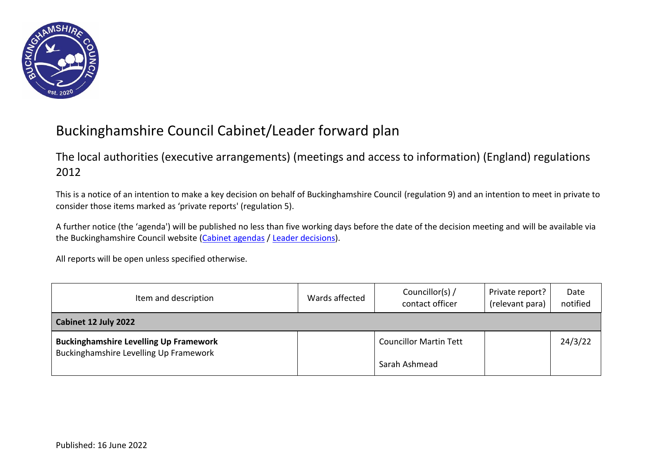

## Buckinghamshire Council Cabinet/Leader forward plan

## The local authorities (executive arrangements) (meetings and access to information) (England) regulations 2012

This is a notice of an intention to make a key decision on behalf of Buckinghamshire Council (regulation 9) and an intention to meet in private to consider those items marked as 'private reports' (regulation 5).

A further notice (the 'agenda') will be published no less than five working days before the date of the decision meeting and will be available via the Buckinghamshire Council website [\(Cabinet agendas](https://buckinghamshire.moderngov.co.uk/ieListMeetings.aspx?CommitteeId=337) / [Leader decisions\)](https://buckinghamshire.moderngov.co.uk/mgDelegatedDecisions.aspx?bcr=1&DS=2&K=1).

All reports will be open unless specified otherwise.

| Item and description                                                                    | Wards affected | Councillor(s) /<br>contact officer | Private report?<br>(relevant para) | Date<br>notified |
|-----------------------------------------------------------------------------------------|----------------|------------------------------------|------------------------------------|------------------|
| Cabinet 12 July 2022                                                                    |                |                                    |                                    |                  |
| <b>Buckinghamshire Levelling Up Framework</b><br>Buckinghamshire Levelling Up Framework |                | <b>Councillor Martin Tett</b>      |                                    | 24/3/22          |
|                                                                                         |                | Sarah Ashmead                      |                                    |                  |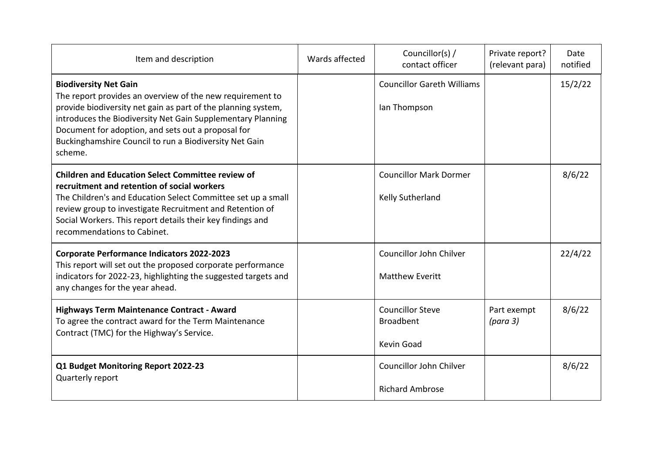| Item and description                                                                                                                                                                                                                                                                                                                                 | Wards affected | Councillor(s) /<br>contact officer                        | Private report?<br>(relevant para) | Date<br>notified |
|------------------------------------------------------------------------------------------------------------------------------------------------------------------------------------------------------------------------------------------------------------------------------------------------------------------------------------------------------|----------------|-----------------------------------------------------------|------------------------------------|------------------|
| <b>Biodiversity Net Gain</b><br>The report provides an overview of the new requirement to<br>provide biodiversity net gain as part of the planning system,<br>introduces the Biodiversity Net Gain Supplementary Planning<br>Document for adoption, and sets out a proposal for<br>Buckinghamshire Council to run a Biodiversity Net Gain<br>scheme. |                | <b>Councillor Gareth Williams</b><br>lan Thompson         |                                    | 15/2/22          |
| <b>Children and Education Select Committee review of</b><br>recruitment and retention of social workers<br>The Children's and Education Select Committee set up a small<br>review group to investigate Recruitment and Retention of<br>Social Workers. This report details their key findings and<br>recommendations to Cabinet.                     |                | <b>Councillor Mark Dormer</b><br>Kelly Sutherland         |                                    | 8/6/22           |
| <b>Corporate Performance Indicators 2022-2023</b><br>This report will set out the proposed corporate performance<br>indicators for 2022-23, highlighting the suggested targets and<br>any changes for the year ahead.                                                                                                                                |                | Councillor John Chilver<br><b>Matthew Everitt</b>         |                                    | 22/4/22          |
| Highways Term Maintenance Contract - Award<br>To agree the contract award for the Term Maintenance<br>Contract (TMC) for the Highway's Service.                                                                                                                                                                                                      |                | <b>Councillor Steve</b><br><b>Broadbent</b><br>Kevin Goad | Part exempt<br>(para 3)            | 8/6/22           |
| Q1 Budget Monitoring Report 2022-23<br>Quarterly report                                                                                                                                                                                                                                                                                              |                | Councillor John Chilver<br><b>Richard Ambrose</b>         |                                    | 8/6/22           |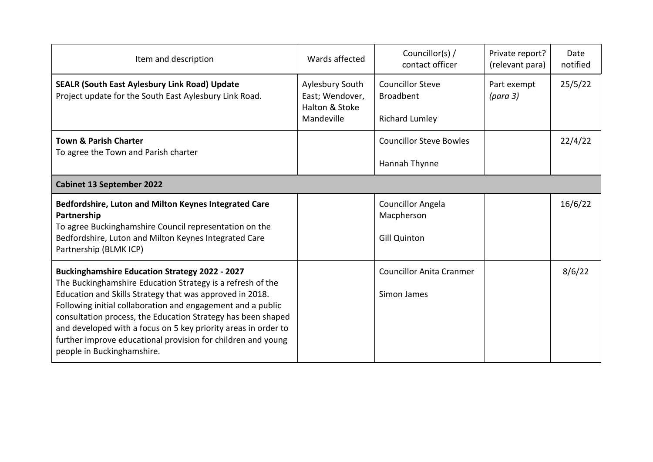| Item and description                                                                                                                                                                                                                                                                                                                                                                                                                                                           | Wards affected                                                     | Councillor(s) /<br>contact officer                                   | Private report?<br>(relevant para) | Date<br>notified |
|--------------------------------------------------------------------------------------------------------------------------------------------------------------------------------------------------------------------------------------------------------------------------------------------------------------------------------------------------------------------------------------------------------------------------------------------------------------------------------|--------------------------------------------------------------------|----------------------------------------------------------------------|------------------------------------|------------------|
| <b>SEALR (South East Aylesbury Link Road) Update</b><br>Project update for the South East Aylesbury Link Road.                                                                                                                                                                                                                                                                                                                                                                 | Aylesbury South<br>East; Wendover,<br>Halton & Stoke<br>Mandeville | <b>Councillor Steve</b><br><b>Broadbent</b><br><b>Richard Lumley</b> | Part exempt<br>(para 3)            | 25/5/22          |
| <b>Town &amp; Parish Charter</b><br>To agree the Town and Parish charter                                                                                                                                                                                                                                                                                                                                                                                                       |                                                                    | <b>Councillor Steve Bowles</b><br>Hannah Thynne                      |                                    | 22/4/22          |
| <b>Cabinet 13 September 2022</b>                                                                                                                                                                                                                                                                                                                                                                                                                                               |                                                                    |                                                                      |                                    |                  |
| Bedfordshire, Luton and Milton Keynes Integrated Care<br>Partnership<br>To agree Buckinghamshire Council representation on the<br>Bedfordshire, Luton and Milton Keynes Integrated Care<br>Partnership (BLMK ICP)                                                                                                                                                                                                                                                              |                                                                    | <b>Councillor Angela</b><br>Macpherson<br><b>Gill Quinton</b>        |                                    | 16/6/22          |
| <b>Buckinghamshire Education Strategy 2022 - 2027</b><br>The Buckinghamshire Education Strategy is a refresh of the<br>Education and Skills Strategy that was approved in 2018.<br>Following initial collaboration and engagement and a public<br>consultation process, the Education Strategy has been shaped<br>and developed with a focus on 5 key priority areas in order to<br>further improve educational provision for children and young<br>people in Buckinghamshire. |                                                                    | <b>Councillor Anita Cranmer</b><br>Simon James                       |                                    | 8/6/22           |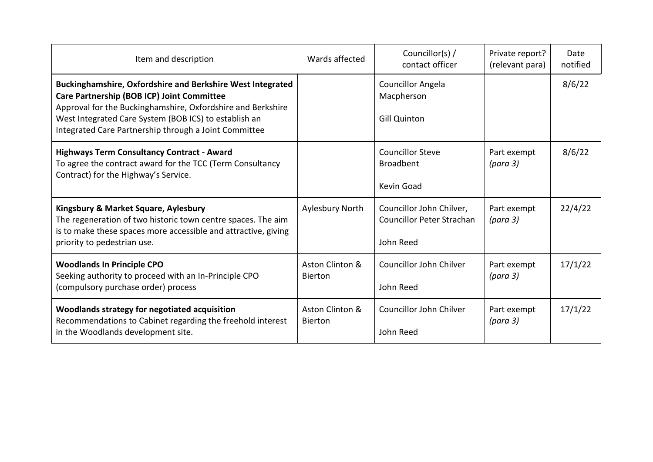| Item and description                                                                                                                                                                                                                                                                             | Wards affected                    | Councillor(s) /<br>contact officer                                 | Private report?<br>(relevant para) | Date<br>notified |
|--------------------------------------------------------------------------------------------------------------------------------------------------------------------------------------------------------------------------------------------------------------------------------------------------|-----------------------------------|--------------------------------------------------------------------|------------------------------------|------------------|
| <b>Buckinghamshire, Oxfordshire and Berkshire West Integrated</b><br>Care Partnership (BOB ICP) Joint Committee<br>Approval for the Buckinghamshire, Oxfordshire and Berkshire<br>West Integrated Care System (BOB ICS) to establish an<br>Integrated Care Partnership through a Joint Committee |                                   | <b>Councillor Angela</b><br>Macpherson<br><b>Gill Quinton</b>      |                                    | 8/6/22           |
| <b>Highways Term Consultancy Contract - Award</b><br>To agree the contract award for the TCC (Term Consultancy<br>Contract) for the Highway's Service.                                                                                                                                           |                                   | <b>Councillor Steve</b><br><b>Broadbent</b><br>Kevin Goad          | Part exempt<br>(para 3)            | 8/6/22           |
| Kingsbury & Market Square, Aylesbury<br>The regeneration of two historic town centre spaces. The aim<br>is to make these spaces more accessible and attractive, giving<br>priority to pedestrian use.                                                                                            | Aylesbury North                   | Councillor John Chilver,<br>Councillor Peter Strachan<br>John Reed | Part exempt<br>(para 3)            | 22/4/22          |
| <b>Woodlands In Principle CPO</b><br>Seeking authority to proceed with an In-Principle CPO<br>(compulsory purchase order) process                                                                                                                                                                | Aston Clinton &<br><b>Bierton</b> | Councillor John Chilver<br>John Reed                               | Part exempt<br>(para 3)            | 17/1/22          |
| Woodlands strategy for negotiated acquisition<br>Recommendations to Cabinet regarding the freehold interest<br>in the Woodlands development site.                                                                                                                                                | Aston Clinton &<br><b>Bierton</b> | Councillor John Chilver<br>John Reed                               | Part exempt<br>(para 3)            | 17/1/22          |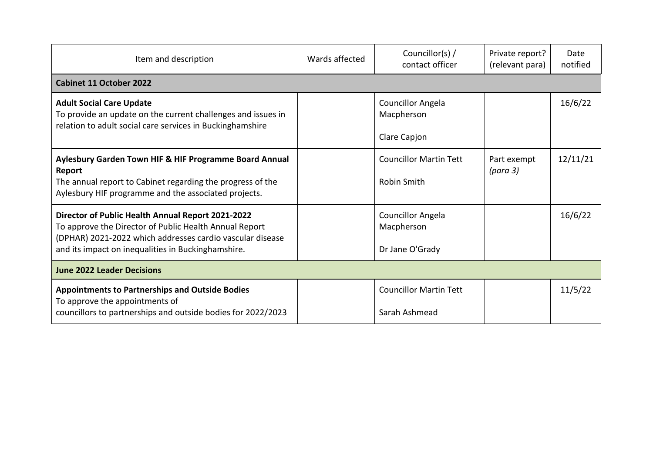| Item and description                                                                                                                                                                                                           | Wards affected | Councillor(s) $/$<br>contact officer                      | Private report?<br>(relevant para) | Date<br>notified |
|--------------------------------------------------------------------------------------------------------------------------------------------------------------------------------------------------------------------------------|----------------|-----------------------------------------------------------|------------------------------------|------------------|
| <b>Cabinet 11 October 2022</b>                                                                                                                                                                                                 |                |                                                           |                                    |                  |
| <b>Adult Social Care Update</b><br>To provide an update on the current challenges and issues in<br>relation to adult social care services in Buckinghamshire                                                                   |                | <b>Councillor Angela</b><br>Macpherson<br>Clare Capjon    |                                    | 16/6/22          |
| Aylesbury Garden Town HIF & HIF Programme Board Annual<br>Report<br>The annual report to Cabinet regarding the progress of the<br>Aylesbury HIF programme and the associated projects.                                         |                | <b>Councillor Martin Tett</b><br><b>Robin Smith</b>       | Part exempt<br>(para 3)            | 12/11/21         |
| Director of Public Health Annual Report 2021-2022<br>To approve the Director of Public Health Annual Report<br>(DPHAR) 2021-2022 which addresses cardio vascular disease<br>and its impact on inequalities in Buckinghamshire. |                | <b>Councillor Angela</b><br>Macpherson<br>Dr Jane O'Grady |                                    | 16/6/22          |
| <b>June 2022 Leader Decisions</b>                                                                                                                                                                                              |                |                                                           |                                    |                  |
| <b>Appointments to Partnerships and Outside Bodies</b><br>To approve the appointments of<br>councillors to partnerships and outside bodies for 2022/2023                                                                       |                | <b>Councillor Martin Tett</b><br>Sarah Ashmead            |                                    | 11/5/22          |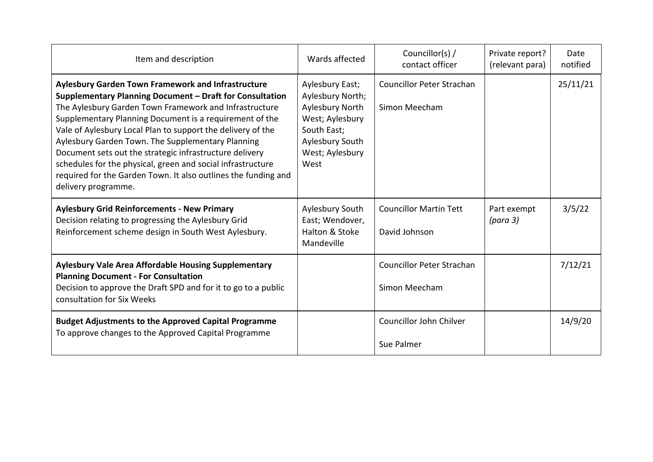| Item and description                                                                                                                                                                                                                                                                                                                                                                                                                                                                                                                                                              | Wards affected                                                                                                                         | Councillor(s) /<br>contact officer                | Private report?<br>(relevant para) | Date<br>notified |
|-----------------------------------------------------------------------------------------------------------------------------------------------------------------------------------------------------------------------------------------------------------------------------------------------------------------------------------------------------------------------------------------------------------------------------------------------------------------------------------------------------------------------------------------------------------------------------------|----------------------------------------------------------------------------------------------------------------------------------------|---------------------------------------------------|------------------------------------|------------------|
| <b>Aylesbury Garden Town Framework and Infrastructure</b><br>Supplementary Planning Document - Draft for Consultation<br>The Aylesbury Garden Town Framework and Infrastructure<br>Supplementary Planning Document is a requirement of the<br>Vale of Aylesbury Local Plan to support the delivery of the<br>Aylesbury Garden Town. The Supplementary Planning<br>Document sets out the strategic infrastructure delivery<br>schedules for the physical, green and social infrastructure<br>required for the Garden Town. It also outlines the funding and<br>delivery programme. | Aylesbury East;<br>Aylesbury North;<br>Aylesbury North<br>West; Aylesbury<br>South East;<br>Aylesbury South<br>West; Aylesbury<br>West | <b>Councillor Peter Strachan</b><br>Simon Meecham |                                    | 25/11/21         |
| <b>Aylesbury Grid Reinforcements - New Primary</b><br>Decision relating to progressing the Aylesbury Grid<br>Reinforcement scheme design in South West Aylesbury.                                                                                                                                                                                                                                                                                                                                                                                                                 | Aylesbury South<br>East; Wendover,<br>Halton & Stoke<br>Mandeville                                                                     | <b>Councillor Martin Tett</b><br>David Johnson    | Part exempt<br>(para 3)            | 3/5/22           |
| <b>Aylesbury Vale Area Affordable Housing Supplementary</b><br><b>Planning Document - For Consultation</b><br>Decision to approve the Draft SPD and for it to go to a public<br>consultation for Six Weeks                                                                                                                                                                                                                                                                                                                                                                        |                                                                                                                                        | <b>Councillor Peter Strachan</b><br>Simon Meecham |                                    | 7/12/21          |
| <b>Budget Adjustments to the Approved Capital Programme</b><br>To approve changes to the Approved Capital Programme                                                                                                                                                                                                                                                                                                                                                                                                                                                               |                                                                                                                                        | Councillor John Chilver<br>Sue Palmer             |                                    | 14/9/20          |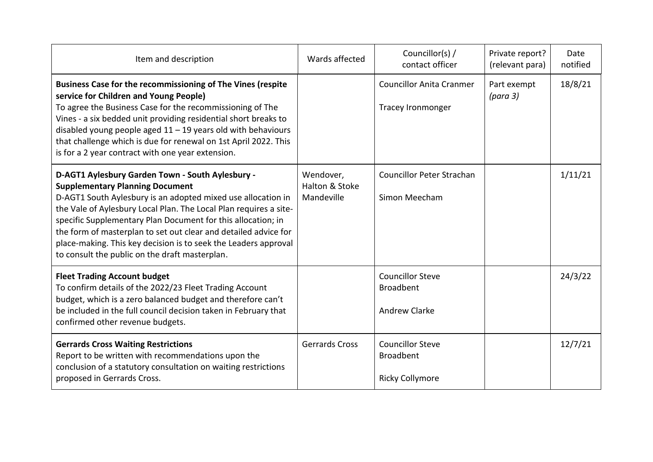| Item and description                                                                                                                                                                                                                                                                                                                                                                                                                                                                    | Wards affected                            | Councillor(s) /<br>contact officer                                    | Private report?<br>(relevant para) | Date<br>notified |
|-----------------------------------------------------------------------------------------------------------------------------------------------------------------------------------------------------------------------------------------------------------------------------------------------------------------------------------------------------------------------------------------------------------------------------------------------------------------------------------------|-------------------------------------------|-----------------------------------------------------------------------|------------------------------------|------------------|
| Business Case for the recommissioning of The Vines (respite<br>service for Children and Young People)<br>To agree the Business Case for the recommissioning of The<br>Vines - a six bedded unit providing residential short breaks to<br>disabled young people aged $11 - 19$ years old with behaviours<br>that challenge which is due for renewal on 1st April 2022. This<br>is for a 2 year contract with one year extension.                                                         |                                           | <b>Councillor Anita Cranmer</b><br><b>Tracey Ironmonger</b>           | Part exempt<br>(para 3)            | 18/8/21          |
| D-AGT1 Aylesbury Garden Town - South Aylesbury -<br><b>Supplementary Planning Document</b><br>D-AGT1 South Aylesbury is an adopted mixed use allocation in<br>the Vale of Aylesbury Local Plan. The Local Plan requires a site-<br>specific Supplementary Plan Document for this allocation; in<br>the form of masterplan to set out clear and detailed advice for<br>place-making. This key decision is to seek the Leaders approval<br>to consult the public on the draft masterplan. | Wendover,<br>Halton & Stoke<br>Mandeville | <b>Councillor Peter Strachan</b><br>Simon Meecham                     |                                    | 1/11/21          |
| <b>Fleet Trading Account budget</b><br>To confirm details of the 2022/23 Fleet Trading Account<br>budget, which is a zero balanced budget and therefore can't<br>be included in the full council decision taken in February that<br>confirmed other revenue budgets.                                                                                                                                                                                                                    |                                           | <b>Councillor Steve</b><br><b>Broadbent</b><br><b>Andrew Clarke</b>   |                                    | 24/3/22          |
| <b>Gerrards Cross Waiting Restrictions</b><br>Report to be written with recommendations upon the<br>conclusion of a statutory consultation on waiting restrictions<br>proposed in Gerrards Cross.                                                                                                                                                                                                                                                                                       | <b>Gerrards Cross</b>                     | <b>Councillor Steve</b><br><b>Broadbent</b><br><b>Ricky Collymore</b> |                                    | 12/7/21          |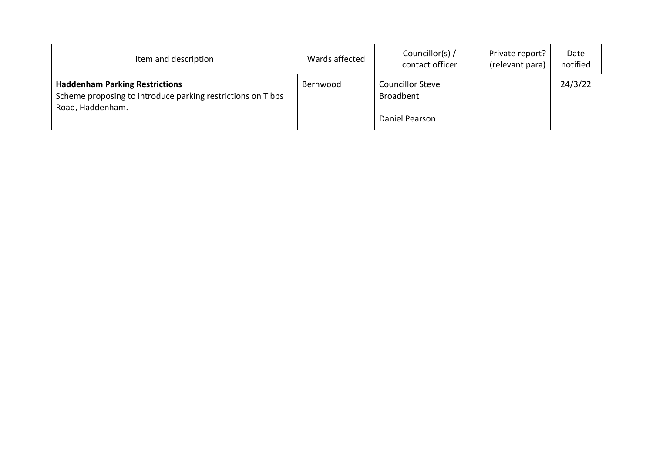| Item and description                                                                                                     | Wards affected | Councillor(s) /<br>contact officer          | Private report?<br>(relevant para) | Date<br>notified |
|--------------------------------------------------------------------------------------------------------------------------|----------------|---------------------------------------------|------------------------------------|------------------|
| <b>Haddenham Parking Restrictions</b><br>Scheme proposing to introduce parking restrictions on Tibbs<br>Road, Haddenham. | Bernwood       | <b>Councillor Steve</b><br><b>Broadbent</b> |                                    | 24/3/22          |
|                                                                                                                          |                | Daniel Pearson                              |                                    |                  |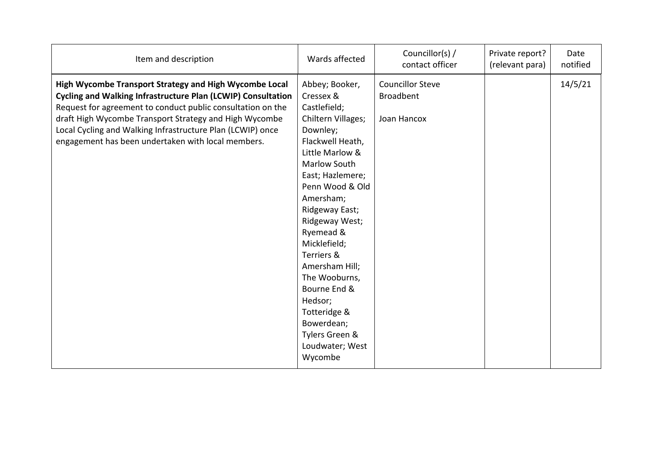| Item and description                                                                                                                                                                                                                                                                                                                                                       | Wards affected                                                                                                                                                                                                                                                                                                                                                                                                      | Councillor(s) /<br>contact officer                         | Private report?<br>(relevant para) | Date<br>notified |
|----------------------------------------------------------------------------------------------------------------------------------------------------------------------------------------------------------------------------------------------------------------------------------------------------------------------------------------------------------------------------|---------------------------------------------------------------------------------------------------------------------------------------------------------------------------------------------------------------------------------------------------------------------------------------------------------------------------------------------------------------------------------------------------------------------|------------------------------------------------------------|------------------------------------|------------------|
| High Wycombe Transport Strategy and High Wycombe Local<br><b>Cycling and Walking Infrastructure Plan (LCWIP) Consultation</b><br>Request for agreement to conduct public consultation on the<br>draft High Wycombe Transport Strategy and High Wycombe<br>Local Cycling and Walking Infrastructure Plan (LCWIP) once<br>engagement has been undertaken with local members. | Abbey; Booker,<br>Cressex &<br>Castlefield;<br>Chiltern Villages;<br>Downley;<br>Flackwell Heath,<br>Little Marlow &<br>Marlow South<br>East; Hazlemere;<br>Penn Wood & Old<br>Amersham;<br>Ridgeway East;<br>Ridgeway West;<br>Ryemead &<br>Micklefield;<br>Terriers &<br>Amersham Hill;<br>The Wooburns,<br>Bourne End &<br>Hedsor;<br>Totteridge &<br>Bowerdean;<br>Tylers Green &<br>Loudwater; West<br>Wycombe | <b>Councillor Steve</b><br><b>Broadbent</b><br>Joan Hancox |                                    | 14/5/21          |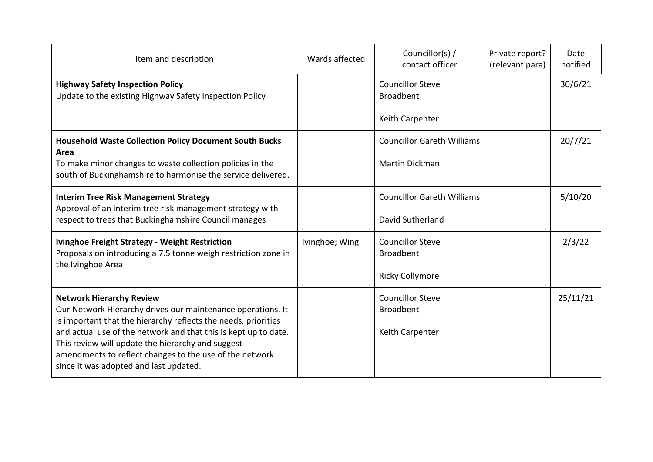| Item and description                                                                                                                                                                                                      | Wards affected | Councillor(s) /<br>contact officer          | Private report?<br>(relevant para) | Date<br>notified |
|---------------------------------------------------------------------------------------------------------------------------------------------------------------------------------------------------------------------------|----------------|---------------------------------------------|------------------------------------|------------------|
| <b>Highway Safety Inspection Policy</b><br>Update to the existing Highway Safety Inspection Policy                                                                                                                        |                | <b>Councillor Steve</b><br><b>Broadbent</b> |                                    | 30/6/21          |
|                                                                                                                                                                                                                           |                | Keith Carpenter                             |                                    |                  |
| <b>Household Waste Collection Policy Document South Bucks</b><br>Area                                                                                                                                                     |                | <b>Councillor Gareth Williams</b>           |                                    | 20/7/21          |
| To make minor changes to waste collection policies in the<br>south of Buckinghamshire to harmonise the service delivered.                                                                                                 |                | <b>Martin Dickman</b>                       |                                    |                  |
| <b>Interim Tree Risk Management Strategy</b><br>Approval of an interim tree risk management strategy with                                                                                                                 |                | <b>Councillor Gareth Williams</b>           |                                    | 5/10/20          |
| respect to trees that Buckinghamshire Council manages                                                                                                                                                                     |                | David Sutherland                            |                                    |                  |
| <b>Ivinghoe Freight Strategy - Weight Restriction</b><br>Proposals on introducing a 7.5 tonne weigh restriction zone in<br>the Ivinghoe Area                                                                              | Ivinghoe; Wing | <b>Councillor Steve</b><br><b>Broadbent</b> |                                    | 2/3/22           |
|                                                                                                                                                                                                                           |                | <b>Ricky Collymore</b>                      |                                    |                  |
| <b>Network Hierarchy Review</b><br>Our Network Hierarchy drives our maintenance operations. It<br>is important that the hierarchy reflects the needs, priorities                                                          |                | <b>Councillor Steve</b><br><b>Broadbent</b> |                                    | 25/11/21         |
| and actual use of the network and that this is kept up to date.<br>This review will update the hierarchy and suggest<br>amendments to reflect changes to the use of the network<br>since it was adopted and last updated. |                | Keith Carpenter                             |                                    |                  |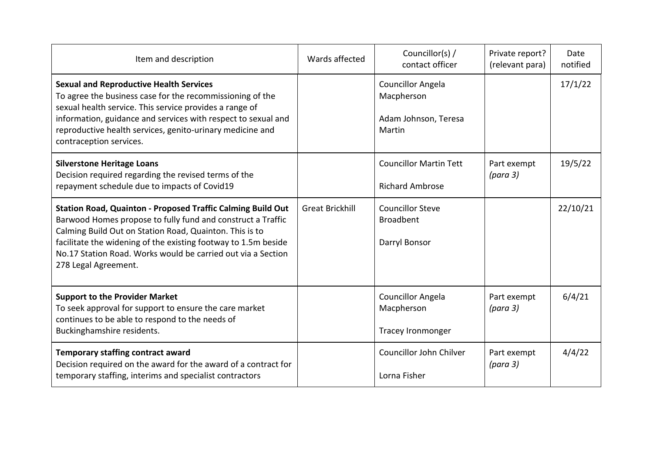| Item and description                                                                                                                                                                                                                                                                                                                            | Wards affected         | Councillor(s) /<br>contact officer                                       | Private report?<br>(relevant para) | Date<br>notified |
|-------------------------------------------------------------------------------------------------------------------------------------------------------------------------------------------------------------------------------------------------------------------------------------------------------------------------------------------------|------------------------|--------------------------------------------------------------------------|------------------------------------|------------------|
| <b>Sexual and Reproductive Health Services</b><br>To agree the business case for the recommissioning of the<br>sexual health service. This service provides a range of<br>information, guidance and services with respect to sexual and<br>reproductive health services, genito-urinary medicine and<br>contraception services.                 |                        | <b>Councillor Angela</b><br>Macpherson<br>Adam Johnson, Teresa<br>Martin |                                    | 17/1/22          |
| <b>Silverstone Heritage Loans</b><br>Decision required regarding the revised terms of the<br>repayment schedule due to impacts of Covid19                                                                                                                                                                                                       |                        | <b>Councillor Martin Tett</b><br><b>Richard Ambrose</b>                  | Part exempt<br>(para 3)            | 19/5/22          |
| Station Road, Quainton - Proposed Traffic Calming Build Out<br>Barwood Homes propose to fully fund and construct a Traffic<br>Calming Build Out on Station Road, Quainton. This is to<br>facilitate the widening of the existing footway to 1.5m beside<br>No.17 Station Road. Works would be carried out via a Section<br>278 Legal Agreement. | <b>Great Brickhill</b> | <b>Councillor Steve</b><br><b>Broadbent</b><br>Darryl Bonsor             |                                    | 22/10/21         |
| <b>Support to the Provider Market</b><br>To seek approval for support to ensure the care market<br>continues to be able to respond to the needs of<br>Buckinghamshire residents.                                                                                                                                                                |                        | <b>Councillor Angela</b><br>Macpherson<br><b>Tracey Ironmonger</b>       | Part exempt<br>(para 3)            | 6/4/21           |
| <b>Temporary staffing contract award</b><br>Decision required on the award for the award of a contract for<br>temporary staffing, interims and specialist contractors                                                                                                                                                                           |                        | Councillor John Chilver<br>Lorna Fisher                                  | Part exempt<br>(para 3)            | 4/4/22           |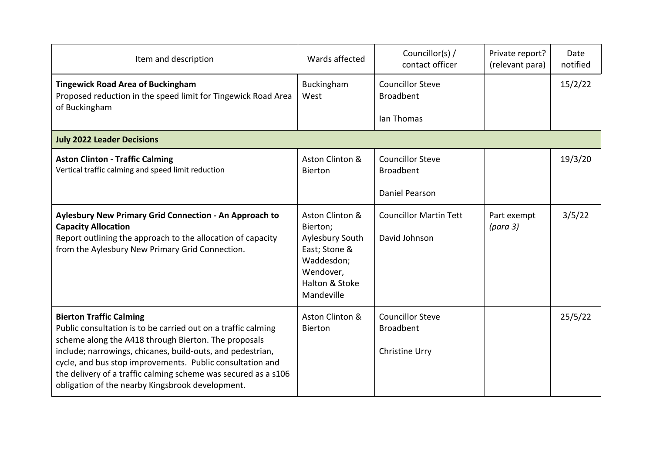| Item and description                                                                                                                                                                                                                                                                                                                                                                                     | Wards affected                                                                                                             | Councillor(s) /<br>contact officer                            | Private report?<br>(relevant para) | Date<br>notified |
|----------------------------------------------------------------------------------------------------------------------------------------------------------------------------------------------------------------------------------------------------------------------------------------------------------------------------------------------------------------------------------------------------------|----------------------------------------------------------------------------------------------------------------------------|---------------------------------------------------------------|------------------------------------|------------------|
| <b>Tingewick Road Area of Buckingham</b><br>Proposed reduction in the speed limit for Tingewick Road Area<br>of Buckingham                                                                                                                                                                                                                                                                               | Buckingham<br>West                                                                                                         | <b>Councillor Steve</b><br><b>Broadbent</b><br>Ian Thomas     |                                    | 15/2/22          |
| <b>July 2022 Leader Decisions</b>                                                                                                                                                                                                                                                                                                                                                                        |                                                                                                                            |                                                               |                                    |                  |
| <b>Aston Clinton - Traffic Calming</b><br>Vertical traffic calming and speed limit reduction                                                                                                                                                                                                                                                                                                             | Aston Clinton &<br><b>Bierton</b>                                                                                          | <b>Councillor Steve</b><br><b>Broadbent</b><br>Daniel Pearson |                                    | 19/3/20          |
|                                                                                                                                                                                                                                                                                                                                                                                                          |                                                                                                                            |                                                               |                                    |                  |
| Aylesbury New Primary Grid Connection - An Approach to<br><b>Capacity Allocation</b><br>Report outlining the approach to the allocation of capacity<br>from the Aylesbury New Primary Grid Connection.                                                                                                                                                                                                   | Aston Clinton &<br>Bierton;<br>Aylesbury South<br>East; Stone &<br>Waddesdon;<br>Wendover,<br>Halton & Stoke<br>Mandeville | <b>Councillor Martin Tett</b><br>David Johnson                | Part exempt<br>(para 3)            | 3/5/22           |
| <b>Bierton Traffic Calming</b><br>Public consultation is to be carried out on a traffic calming<br>scheme along the A418 through Bierton. The proposals<br>include; narrowings, chicanes, build-outs, and pedestrian,<br>cycle, and bus stop improvements. Public consultation and<br>the delivery of a traffic calming scheme was secured as a s106<br>obligation of the nearby Kingsbrook development. | Aston Clinton &<br>Bierton                                                                                                 | <b>Councillor Steve</b><br><b>Broadbent</b><br>Christine Urry |                                    | 25/5/22          |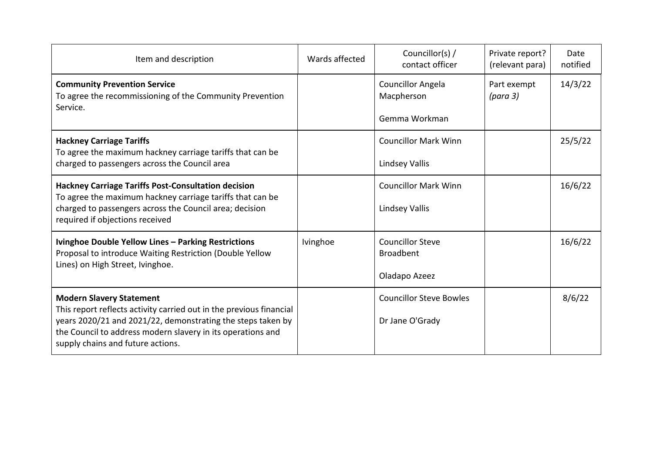| Item and description                                                                                                                                                                                                                                                      | Wards affected | Councillor(s) /<br>contact officer          | Private report?<br>(relevant para) | Date<br>notified |
|---------------------------------------------------------------------------------------------------------------------------------------------------------------------------------------------------------------------------------------------------------------------------|----------------|---------------------------------------------|------------------------------------|------------------|
| <b>Community Prevention Service</b><br>To agree the recommissioning of the Community Prevention<br>Service.                                                                                                                                                               |                | Councillor Angela<br>Macpherson             | Part exempt<br>(para 3)            | 14/3/22          |
|                                                                                                                                                                                                                                                                           |                | Gemma Workman                               |                                    |                  |
| <b>Hackney Carriage Tariffs</b><br>To agree the maximum hackney carriage tariffs that can be<br>charged to passengers across the Council area                                                                                                                             |                | <b>Councillor Mark Winn</b>                 |                                    | 25/5/22          |
|                                                                                                                                                                                                                                                                           |                | Lindsey Vallis                              |                                    |                  |
| <b>Hackney Carriage Tariffs Post-Consultation decision</b><br>To agree the maximum hackney carriage tariffs that can be<br>charged to passengers across the Council area; decision<br>required if objections received                                                     |                | <b>Councillor Mark Winn</b>                 |                                    | 16/6/22          |
|                                                                                                                                                                                                                                                                           |                | Lindsey Vallis                              |                                    |                  |
| Ivinghoe Double Yellow Lines - Parking Restrictions<br>Proposal to introduce Waiting Restriction (Double Yellow<br>Lines) on High Street, Ivinghoe.                                                                                                                       | Ivinghoe       | <b>Councillor Steve</b><br><b>Broadbent</b> |                                    | 16/6/22          |
|                                                                                                                                                                                                                                                                           |                | Oladapo Azeez                               |                                    |                  |
| <b>Modern Slavery Statement</b><br>This report reflects activity carried out in the previous financial<br>years 2020/21 and 2021/22, demonstrating the steps taken by<br>the Council to address modern slavery in its operations and<br>supply chains and future actions. |                | <b>Councillor Steve Bowles</b>              |                                    | 8/6/22           |
|                                                                                                                                                                                                                                                                           |                | Dr Jane O'Grady                             |                                    |                  |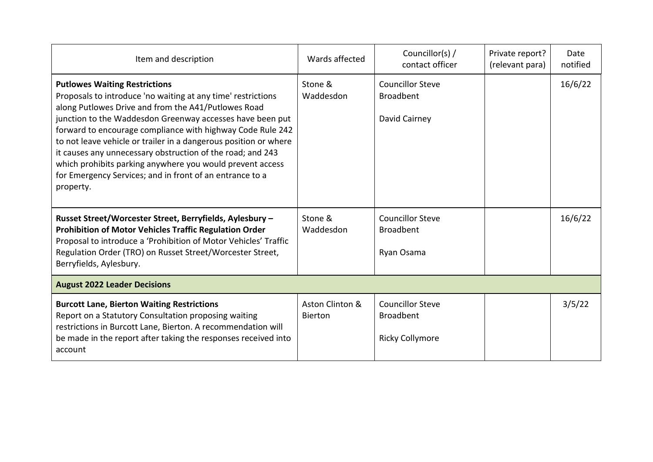| Item and description                                                                                                                                                                                                                                                                                                                                                                                                                                                                                                                                           | Wards affected                    | Councillor(s) /<br>contact officer                                    | Private report?<br>(relevant para) | Date<br>notified |  |  |  |
|----------------------------------------------------------------------------------------------------------------------------------------------------------------------------------------------------------------------------------------------------------------------------------------------------------------------------------------------------------------------------------------------------------------------------------------------------------------------------------------------------------------------------------------------------------------|-----------------------------------|-----------------------------------------------------------------------|------------------------------------|------------------|--|--|--|
| <b>Putlowes Waiting Restrictions</b><br>Proposals to introduce 'no waiting at any time' restrictions<br>along Putlowes Drive and from the A41/Putlowes Road<br>junction to the Waddesdon Greenway accesses have been put<br>forward to encourage compliance with highway Code Rule 242<br>to not leave vehicle or trailer in a dangerous position or where<br>it causes any unnecessary obstruction of the road; and 243<br>which prohibits parking anywhere you would prevent access<br>for Emergency Services; and in front of an entrance to a<br>property. | Stone &<br>Waddesdon              | <b>Councillor Steve</b><br><b>Broadbent</b><br>David Cairney          |                                    | 16/6/22          |  |  |  |
| Russet Street/Worcester Street, Berryfields, Aylesbury -<br><b>Prohibition of Motor Vehicles Traffic Regulation Order</b><br>Proposal to introduce a 'Prohibition of Motor Vehicles' Traffic<br>Regulation Order (TRO) on Russet Street/Worcester Street,<br>Berryfields, Aylesbury.                                                                                                                                                                                                                                                                           | Stone &<br>Waddesdon              | <b>Councillor Steve</b><br><b>Broadbent</b><br>Ryan Osama             |                                    | 16/6/22          |  |  |  |
| <b>August 2022 Leader Decisions</b>                                                                                                                                                                                                                                                                                                                                                                                                                                                                                                                            |                                   |                                                                       |                                    |                  |  |  |  |
| <b>Burcott Lane, Bierton Waiting Restrictions</b><br>Report on a Statutory Consultation proposing waiting<br>restrictions in Burcott Lane, Bierton. A recommendation will<br>be made in the report after taking the responses received into<br>account                                                                                                                                                                                                                                                                                                         | Aston Clinton &<br><b>Bierton</b> | <b>Councillor Steve</b><br><b>Broadbent</b><br><b>Ricky Collymore</b> |                                    | 3/5/22           |  |  |  |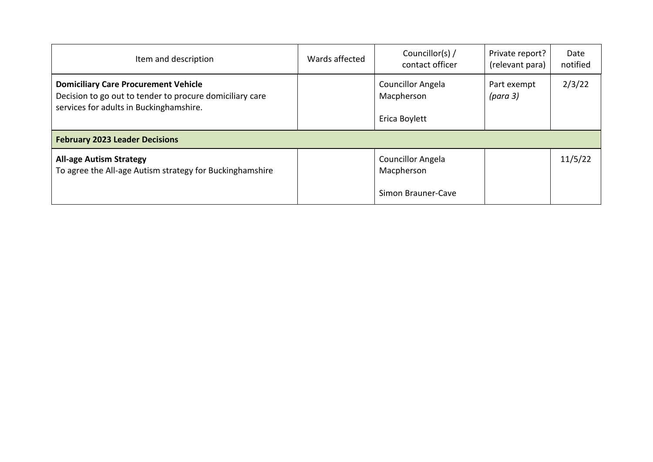| Item and description                                                                                                                               | Wards affected | Councillor(s) /<br>contact officer                           | Private report?<br>(relevant para) | Date<br>notified |  |  |  |
|----------------------------------------------------------------------------------------------------------------------------------------------------|----------------|--------------------------------------------------------------|------------------------------------|------------------|--|--|--|
| <b>Domiciliary Care Procurement Vehicle</b><br>Decision to go out to tender to procure domiciliary care<br>services for adults in Buckinghamshire. |                | <b>Councillor Angela</b><br>Macpherson<br>Erica Boylett      | Part exempt<br>(para 3)            | 2/3/22           |  |  |  |
| <b>February 2023 Leader Decisions</b>                                                                                                              |                |                                                              |                                    |                  |  |  |  |
| <b>All-age Autism Strategy</b><br>To agree the All-age Autism strategy for Buckinghamshire                                                         |                | <b>Councillor Angela</b><br>Macpherson<br>Simon Brauner-Cave |                                    | 11/5/22          |  |  |  |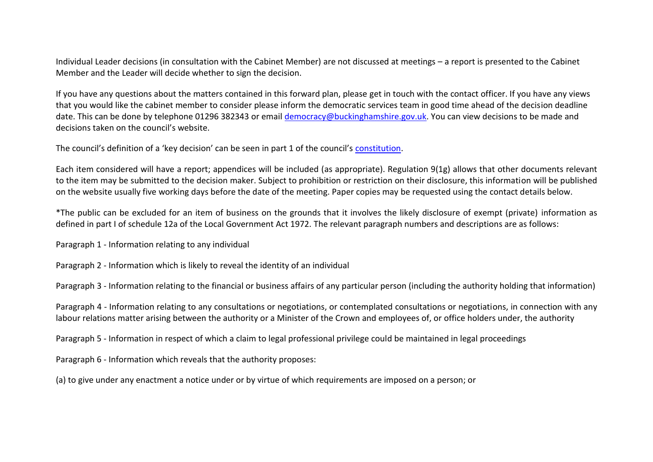Individual Leader decisions (in consultation with the Cabinet Member) are not discussed at meetings – a report is presented to the Cabinet Member and the Leader will decide whether to sign the decision.

If you have any questions about the matters contained in this forward plan, please get in touch with the contact officer. If you have any views that you would like the cabinet member to consider please inform the democratic services team in good time ahead of the decision deadline date. This can be done by telephone 01296 382343 or email [democracy@buckinghamshire.gov.uk.](mailto:democracy@buckinghamshire.gov.uk) You can view decisions to be made and decisions taken on the council's website.

The council's definition of a 'key decision' can be seen in part 1 of the council's [constitution.](https://buckinghamshire.moderngov.co.uk/ecSDDisplay.aspx?NAME=Council%20Constitution&ID=1033&RPID=5893201)

Each item considered will have a report; appendices will be included (as appropriate). Regulation 9(1g) allows that other documents relevant to the item may be submitted to the decision maker. Subject to prohibition or restriction on their disclosure, this information will be published on the website usually five working days before the date of the meeting. Paper copies may be requested using the contact details below.

\*The public can be excluded for an item of business on the grounds that it involves the likely disclosure of exempt (private) information as defined in part I of schedule 12a of the Local Government Act 1972. The relevant paragraph numbers and descriptions are as follows:

Paragraph 1 - Information relating to any individual

Paragraph 2 - Information which is likely to reveal the identity of an individual

Paragraph 3 - Information relating to the financial or business affairs of any particular person (including the authority holding that information)

Paragraph 4 - Information relating to any consultations or negotiations, or contemplated consultations or negotiations, in connection with any labour relations matter arising between the authority or a Minister of the Crown and employees of, or office holders under, the authority

Paragraph 5 - Information in respect of which a claim to legal professional privilege could be maintained in legal proceedings

Paragraph 6 - Information which reveals that the authority proposes:

(a) to give under any enactment a notice under or by virtue of which requirements are imposed on a person; or